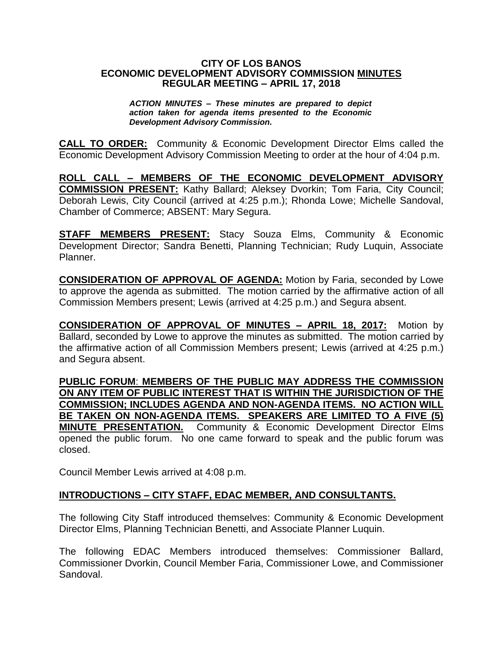#### **CITY OF LOS BANOS ECONOMIC DEVELOPMENT ADVISORY COMMISSION MINUTES REGULAR MEETING – APRIL 17, 2018**

*ACTION MINUTES – These minutes are prepared to depict action taken for agenda items presented to the Economic Development Advisory Commission.*

**CALL TO ORDER:** Community & Economic Development Director Elms called the Economic Development Advisory Commission Meeting to order at the hour of 4:04 p.m.

**ROLL CALL – MEMBERS OF THE ECONOMIC DEVELOPMENT ADVISORY COMMISSION PRESENT:** Kathy Ballard; Aleksey Dvorkin; Tom Faria, City Council; Deborah Lewis, City Council (arrived at 4:25 p.m.); Rhonda Lowe; Michelle Sandoval, Chamber of Commerce; ABSENT: Mary Segura.

**STAFF MEMBERS PRESENT:** Stacy Souza Elms, Community & Economic Development Director; Sandra Benetti, Planning Technician; Rudy Luquin, Associate Planner.

**CONSIDERATION OF APPROVAL OF AGENDA:** Motion by Faria, seconded by Lowe to approve the agenda as submitted. The motion carried by the affirmative action of all Commission Members present; Lewis (arrived at 4:25 p.m.) and Segura absent.

**CONSIDERATION OF APPROVAL OF MINUTES – APRIL 18, 2017:** Motion by Ballard, seconded by Lowe to approve the minutes as submitted. The motion carried by the affirmative action of all Commission Members present; Lewis (arrived at 4:25 p.m.) and Segura absent.

**PUBLIC FORUM**: **MEMBERS OF THE PUBLIC MAY ADDRESS THE COMMISSION ON ANY ITEM OF PUBLIC INTEREST THAT IS WITHIN THE JURISDICTION OF THE COMMISSION; INCLUDES AGENDA AND NON-AGENDA ITEMS. NO ACTION WILL BE TAKEN ON NON-AGENDA ITEMS. SPEAKERS ARE LIMITED TO A FIVE (5) MINUTE PRESENTATION.** Community & Economic Development Director Elms opened the public forum. No one came forward to speak and the public forum was closed.

Council Member Lewis arrived at 4:08 p.m.

## **INTRODUCTIONS – CITY STAFF, EDAC MEMBER, AND CONSULTANTS.**

The following City Staff introduced themselves: Community & Economic Development Director Elms, Planning Technician Benetti, and Associate Planner Luquin.

The following EDAC Members introduced themselves: Commissioner Ballard, Commissioner Dvorkin, Council Member Faria, Commissioner Lowe, and Commissioner Sandoval.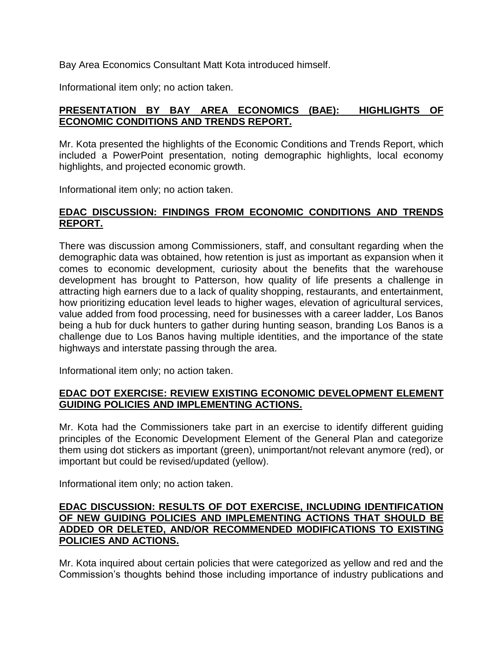Bay Area Economics Consultant Matt Kota introduced himself.

Informational item only; no action taken.

## **PRESENTATION BY BAY AREA ECONOMICS (BAE): HIGHLIGHTS OF ECONOMIC CONDITIONS AND TRENDS REPORT.**

Mr. Kota presented the highlights of the Economic Conditions and Trends Report, which included a PowerPoint presentation, noting demographic highlights, local economy highlights, and projected economic growth.

Informational item only; no action taken.

# **EDAC DISCUSSION: FINDINGS FROM ECONOMIC CONDITIONS AND TRENDS REPORT.**

There was discussion among Commissioners, staff, and consultant regarding when the demographic data was obtained, how retention is just as important as expansion when it comes to economic development, curiosity about the benefits that the warehouse development has brought to Patterson, how quality of life presents a challenge in attracting high earners due to a lack of quality shopping, restaurants, and entertainment, how prioritizing education level leads to higher wages, elevation of agricultural services, value added from food processing, need for businesses with a career ladder, Los Banos being a hub for duck hunters to gather during hunting season, branding Los Banos is a challenge due to Los Banos having multiple identities, and the importance of the state highways and interstate passing through the area.

Informational item only; no action taken.

## **EDAC DOT EXERCISE: REVIEW EXISTING ECONOMIC DEVELOPMENT ELEMENT GUIDING POLICIES AND IMPLEMENTING ACTIONS.**

Mr. Kota had the Commissioners take part in an exercise to identify different guiding principles of the Economic Development Element of the General Plan and categorize them using dot stickers as important (green), unimportant/not relevant anymore (red), or important but could be revised/updated (yellow).

Informational item only; no action taken.

## **EDAC DISCUSSION: RESULTS OF DOT EXERCISE, INCLUDING IDENTIFICATION OF NEW GUIDING POLICIES AND IMPLEMENTING ACTIONS THAT SHOULD BE ADDED OR DELETED, AND/OR RECOMMENDED MODIFICATIONS TO EXISTING POLICIES AND ACTIONS.**

Mr. Kota inquired about certain policies that were categorized as yellow and red and the Commission's thoughts behind those including importance of industry publications and